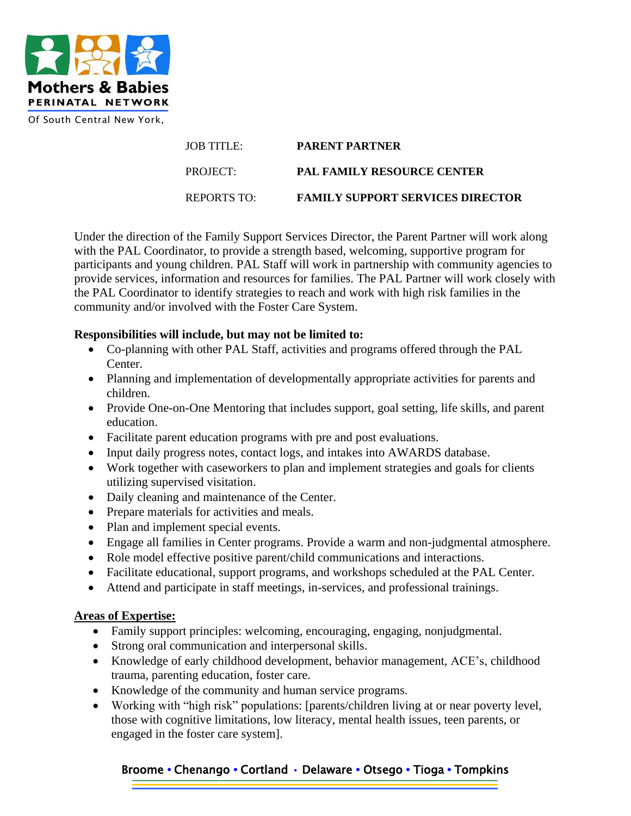

| JOB TITLE:  | <b>PARENT PARTNER</b>                   |
|-------------|-----------------------------------------|
| PROJECT:    | <b>PAL FAMILY RESOURCE CENTER</b>       |
| REPORTS TO: | <b>FAMILY SUPPORT SERVICES DIRECTOR</b> |

Under the direction of the Family Support Services Director, the Parent Partner will work along with the PAL Coordinator, to provide a strength based, welcoming, supportive program for participants and young children. PAL Staff will work in partnership with community agencies to provide services, information and resources for families. The PAL Partner will work closely with the PAL Coordinator to identify strategies to reach and work with high risk families in the community and/or involved with the Foster Care System.

## **Responsibilities will include, but may not be limited to:**

- Co-planning with other PAL Staff, activities and programs offered through the PAL Center.
- Planning and implementation of developmentally appropriate activities for parents and children.
- Provide One-on-One Mentoring that includes support, goal setting, life skills, and parent education.
- Facilitate parent education programs with pre and post evaluations.
- Input daily progress notes, contact logs, and intakes into AWARDS database.
- Work together with caseworkers to plan and implement strategies and goals for clients utilizing supervised visitation.
- Daily cleaning and maintenance of the Center.
- Prepare materials for activities and meals.
- Plan and implement special events.
- Engage all families in Center programs. Provide a warm and non-judgmental atmosphere.
- Role model effective positive parent/child communications and interactions.
- Facilitate educational, support programs, and workshops scheduled at the PAL Center.
- Attend and participate in staff meetings, in-services, and professional trainings.

## **Areas of Expertise:**

- Family support principles: welcoming, encouraging, engaging, nonjudgmental.
- Strong oral communication and interpersonal skills.
- Knowledge of early childhood development, behavior management, ACE's, childhood trauma, parenting education, foster care.
- Knowledge of the community and human service programs.
- Working with "high risk" populations: [parents/children living at or near poverty level, those with cognitive limitations, low literacy, mental health issues, teen parents, or engaged in the foster care system].

## Broome **•** Chenango **•** Cortland • Delaware **•** Otsego **•** Tioga **•** Tompkins